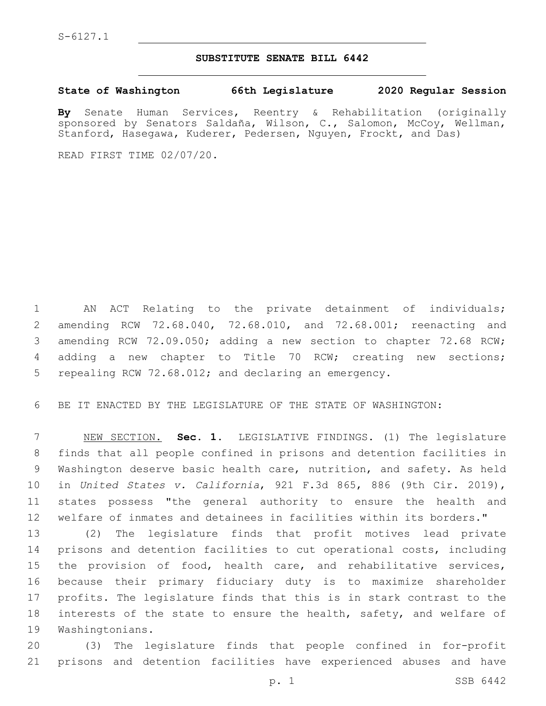### **SUBSTITUTE SENATE BILL 6442**

**State of Washington 66th Legislature 2020 Regular Session**

**By** Senate Human Services, Reentry & Rehabilitation (originally sponsored by Senators Saldaña, Wilson, C., Salomon, McCoy, Wellman, Stanford, Hasegawa, Kuderer, Pedersen, Nguyen, Frockt, and Das)

READ FIRST TIME 02/07/20.

 AN ACT Relating to the private detainment of individuals; amending RCW 72.68.040, 72.68.010, and 72.68.001; reenacting and amending RCW 72.09.050; adding a new section to chapter 72.68 RCW; adding a new chapter to Title 70 RCW; creating new sections; repealing RCW 72.68.012; and declaring an emergency.

BE IT ENACTED BY THE LEGISLATURE OF THE STATE OF WASHINGTON:

 NEW SECTION. **Sec. 1.** LEGISLATIVE FINDINGS. (1) The legislature finds that all people confined in prisons and detention facilities in Washington deserve basic health care, nutrition, and safety. As held in *United States v. California*, 921 F.3d 865, 886 (9th Cir. 2019), states possess "the general authority to ensure the health and welfare of inmates and detainees in facilities within its borders."

 (2) The legislature finds that profit motives lead private prisons and detention facilities to cut operational costs, including the provision of food, health care, and rehabilitative services, because their primary fiduciary duty is to maximize shareholder profits. The legislature finds that this is in stark contrast to the interests of the state to ensure the health, safety, and welfare of 19 Washingtonians.

 (3) The legislature finds that people confined in for-profit prisons and detention facilities have experienced abuses and have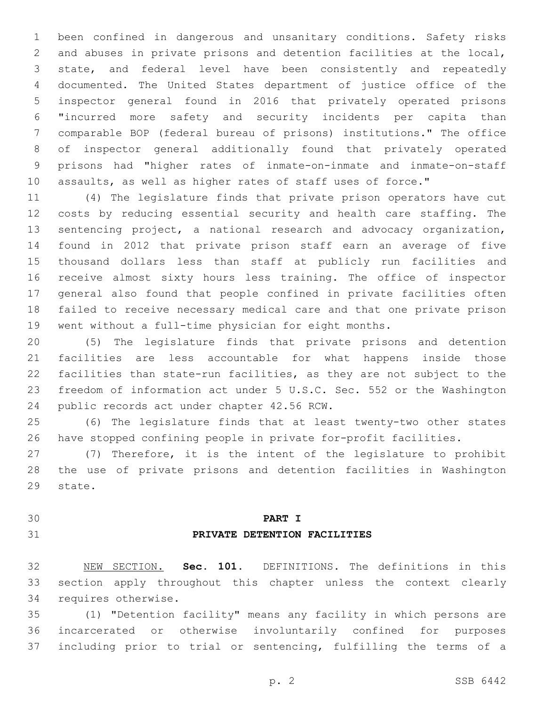been confined in dangerous and unsanitary conditions. Safety risks and abuses in private prisons and detention facilities at the local, state, and federal level have been consistently and repeatedly 4 documented. The United States department of justice office of the inspector general found in 2016 that privately operated prisons "incurred more safety and security incidents per capita than comparable BOP (federal bureau of prisons) institutions." The office of inspector general additionally found that privately operated prisons had "higher rates of inmate-on-inmate and inmate-on-staff assaults, as well as higher rates of staff uses of force."

 (4) The legislature finds that private prison operators have cut costs by reducing essential security and health care staffing. The sentencing project, a national research and advocacy organization, found in 2012 that private prison staff earn an average of five thousand dollars less than staff at publicly run facilities and receive almost sixty hours less training. The office of inspector general also found that people confined in private facilities often failed to receive necessary medical care and that one private prison went without a full-time physician for eight months.

 (5) The legislature finds that private prisons and detention facilities are less accountable for what happens inside those facilities than state-run facilities, as they are not subject to the freedom of information act under 5 U.S.C. Sec. 552 or the Washington 24 public records act under chapter 42.56 RCW.

 (6) The legislature finds that at least twenty-two other states have stopped confining people in private for-profit facilities.

 (7) Therefore, it is the intent of the legislature to prohibit the use of private prisons and detention facilities in Washington 29 state.

# **PART I PRIVATE DETENTION FACILITIES**

 NEW SECTION. **Sec. 101.** DEFINITIONS. The definitions in this section apply throughout this chapter unless the context clearly requires otherwise.

 (1) "Detention facility" means any facility in which persons are incarcerated or otherwise involuntarily confined for purposes including prior to trial or sentencing, fulfilling the terms of a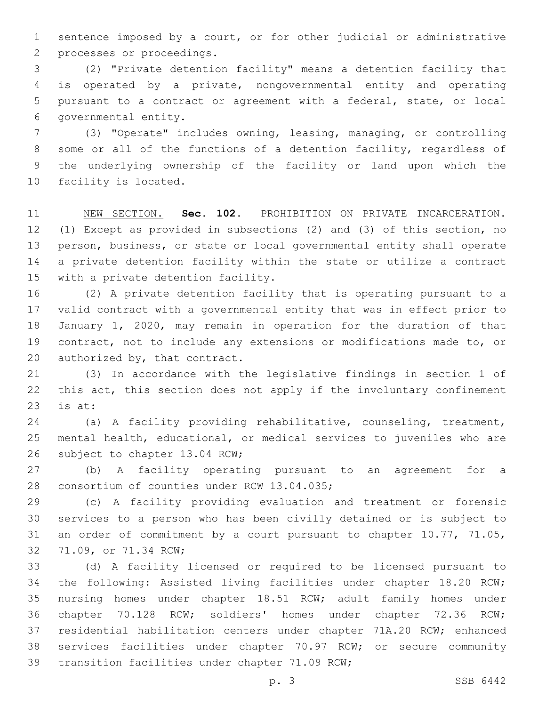sentence imposed by a court, or for other judicial or administrative 2 processes or proceedings.

 (2) "Private detention facility" means a detention facility that is operated by a private, nongovernmental entity and operating pursuant to a contract or agreement with a federal, state, or local 6 governmental entity.

 (3) "Operate" includes owning, leasing, managing, or controlling some or all of the functions of a detention facility, regardless of the underlying ownership of the facility or land upon which the 10 facility is located.

 NEW SECTION. **Sec. 102.** PROHIBITION ON PRIVATE INCARCERATION. (1) Except as provided in subsections (2) and (3) of this section, no person, business, or state or local governmental entity shall operate a private detention facility within the state or utilize a contract with a private detention facility.

 (2) A private detention facility that is operating pursuant to a valid contract with a governmental entity that was in effect prior to January 1, 2020, may remain in operation for the duration of that contract, not to include any extensions or modifications made to, or 20 authorized by, that contract.

 (3) In accordance with the legislative findings in section 1 of this act, this section does not apply if the involuntary confinement is at:

 (a) A facility providing rehabilitative, counseling, treatment, mental health, educational, or medical services to juveniles who are 26 subject to chapter 13.04 RCW;

 (b) A facility operating pursuant to an agreement for a 28 consortium of counties under RCW 13.04.035;

 (c) A facility providing evaluation and treatment or forensic services to a person who has been civilly detained or is subject to an order of commitment by a court pursuant to chapter 10.77, 71.05, 32 71.09, or 71.34 RCW;

 (d) A facility licensed or required to be licensed pursuant to the following: Assisted living facilities under chapter 18.20 RCW; nursing homes under chapter 18.51 RCW; adult family homes under chapter 70.128 RCW; soldiers' homes under chapter 72.36 RCW; residential habilitation centers under chapter 71A.20 RCW; enhanced services facilities under chapter 70.97 RCW; or secure community 39 transition facilities under chapter 71.09 RCW;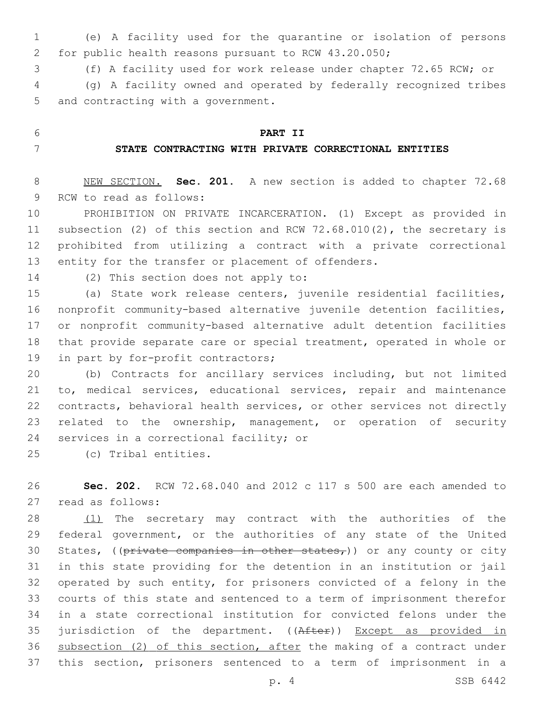(e) A facility used for the quarantine or isolation of persons for public health reasons pursuant to RCW 43.20.050;

(f) A facility used for work release under chapter 72.65 RCW; or

 (g) A facility owned and operated by federally recognized tribes 5 and contracting with a government.

## **PART II**

## **STATE CONTRACTING WITH PRIVATE CORRECTIONAL ENTITIES**

 NEW SECTION. **Sec. 201.** A new section is added to chapter 72.68 9 RCW to read as follows:

 PROHIBITION ON PRIVATE INCARCERATION. (1) Except as provided in subsection (2) of this section and RCW 72.68.010(2), the secretary is prohibited from utilizing a contract with a private correctional 13 entity for the transfer or placement of offenders.

14 (2) This section does not apply to:

 (a) State work release centers, juvenile residential facilities, nonprofit community-based alternative juvenile detention facilities, or nonprofit community-based alternative adult detention facilities that provide separate care or special treatment, operated in whole or 19 in part by for-profit contractors;

 (b) Contracts for ancillary services including, but not limited to, medical services, educational services, repair and maintenance contracts, behavioral health services, or other services not directly related to the ownership, management, or operation of security 24 services in a correctional facility; or

(c) Tribal entities.25

 **Sec. 202.** RCW 72.68.040 and 2012 c 117 s 500 are each amended to 27 read as follows:

28 (1) The secretary may contract with the authorities of the federal government, or the authorities of any state of the United 30 States, ((private companies in other states,)) or any county or city in this state providing for the detention in an institution or jail operated by such entity, for prisoners convicted of a felony in the courts of this state and sentenced to a term of imprisonment therefor in a state correctional institution for convicted felons under the 35 jurisdiction of the department. ((After)) Except as provided in 36 subsection (2) of this section, after the making of a contract under this section, prisoners sentenced to a term of imprisonment in a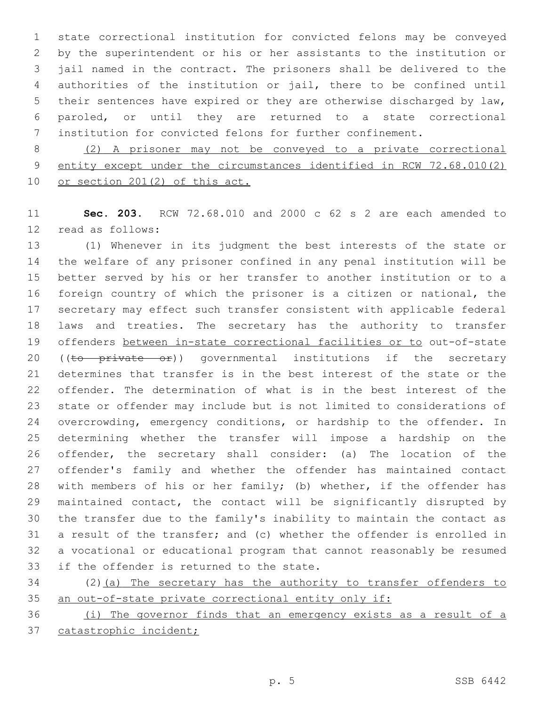state correctional institution for convicted felons may be conveyed by the superintendent or his or her assistants to the institution or jail named in the contract. The prisoners shall be delivered to the authorities of the institution or jail, there to be confined until their sentences have expired or they are otherwise discharged by law, paroled, or until they are returned to a state correctional institution for convicted felons for further confinement.

 (2) A prisoner may not be conveyed to a private correctional entity except under the circumstances identified in RCW 72.68.010(2) or section 201(2) of this act.

 **Sec. 203.** RCW 72.68.010 and 2000 c 62 s 2 are each amended to 12 read as follows:

 (1) Whenever in its judgment the best interests of the state or the welfare of any prisoner confined in any penal institution will be better served by his or her transfer to another institution or to a foreign country of which the prisoner is a citizen or national, the secretary may effect such transfer consistent with applicable federal laws and treaties. The secretary has the authority to transfer 19 offenders between in-state correctional facilities or to out-of-state 20 ((to private or)) governmental institutions if the secretary determines that transfer is in the best interest of the state or the offender. The determination of what is in the best interest of the state or offender may include but is not limited to considerations of 24 overcrowding, emergency conditions, or hardship to the offender. In determining whether the transfer will impose a hardship on the offender, the secretary shall consider: (a) The location of the offender's family and whether the offender has maintained contact with members of his or her family; (b) whether, if the offender has maintained contact, the contact will be significantly disrupted by the transfer due to the family's inability to maintain the contact as a result of the transfer; and (c) whether the offender is enrolled in a vocational or educational program that cannot reasonably be resumed 33 if the offender is returned to the state.

 (2)(a) The secretary has the authority to transfer offenders to an out-of-state private correctional entity only if:

 (i) The governor finds that an emergency exists as a result of a 37 catastrophic incident;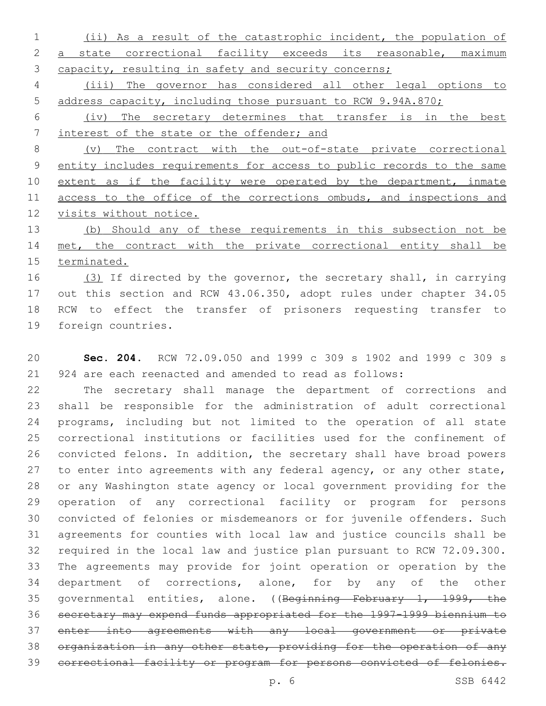(ii) As a result of the catastrophic incident, the population of a state correctional facility exceeds its reasonable, maximum 3 capacity, resulting in safety and security concerns;

 (iii) The governor has considered all other legal options to address capacity, including those pursuant to RCW 9.94A.870;

 (iv) The secretary determines that transfer is in the best 7 interest of the state or the offender; and

 (v) The contract with the out-of-state private correctional entity includes requirements for access to public records to the same 10 extent as if the facility were operated by the department, inmate 11 access to the office of the corrections ombuds, and inspections and visits without notice.

 (b) Should any of these requirements in this subsection not be met, the contract with the private correctional entity shall be terminated.

16 (3) If directed by the governor, the secretary shall, in carrying out this section and RCW 43.06.350, adopt rules under chapter 34.05 RCW to effect the transfer of prisoners requesting transfer to 19 foreign countries.

 **Sec. 204.** RCW 72.09.050 and 1999 c 309 s 1902 and 1999 c 309 s 924 are each reenacted and amended to read as follows:

 The secretary shall manage the department of corrections and shall be responsible for the administration of adult correctional programs, including but not limited to the operation of all state correctional institutions or facilities used for the confinement of convicted felons. In addition, the secretary shall have broad powers 27 to enter into agreements with any federal agency, or any other state, or any Washington state agency or local government providing for the operation of any correctional facility or program for persons convicted of felonies or misdemeanors or for juvenile offenders. Such agreements for counties with local law and justice councils shall be required in the local law and justice plan pursuant to RCW 72.09.300. The agreements may provide for joint operation or operation by the department of corrections, alone, for by any of the other governmental entities, alone. ((Beginning February 1, 1999, the secretary may expend funds appropriated for the 1997-1999 biennium to enter into agreements with any local government or private organization in any other state, providing for the operation of any correctional facility or program for persons convicted of felonies.

p. 6 SSB 6442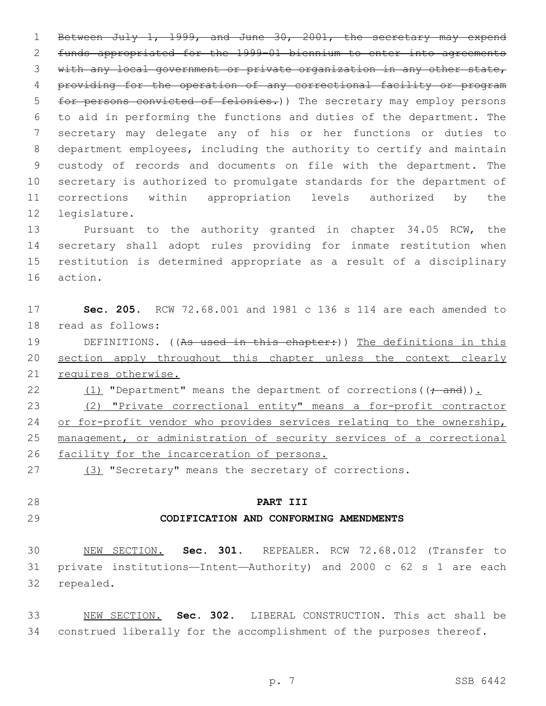Between July 1, 1999, and June 30, 2001, the secretary may expend funds appropriated for the 1999-01 biennium to enter into agreements with any local government or private organization in any other state, providing for the operation of any correctional facility or program 5 for persons convicted of felonies.) The secretary may employ persons to aid in performing the functions and duties of the department. The secretary may delegate any of his or her functions or duties to department employees, including the authority to certify and maintain custody of records and documents on file with the department. The secretary is authorized to promulgate standards for the department of corrections within appropriation levels authorized by the 12 legislature.

 Pursuant to the authority granted in chapter 34.05 RCW, the secretary shall adopt rules providing for inmate restitution when restitution is determined appropriate as a result of a disciplinary 16 action.

 **Sec. 205.** RCW 72.68.001 and 1981 c 136 s 114 are each amended to 18 read as follows: 19 DEFINITIONS. ((As used in this chapter:)) The definitions in this 20 section apply throughout this chapter unless the context clearly requires otherwise. 22  $(1)$  "Department" means the department of corrections( $(+$  and)). (2) "Private correctional entity" means a for-profit contractor 24 or for-profit vendor who provides services relating to the ownership, management, or administration of security services of a correctional

facility for the incarceration of persons.

27 (3) "Secretary" means the secretary of corrections.

# **PART III**

### **CODIFICATION AND CONFORMING AMENDMENTS**

 NEW SECTION. **Sec. 301.** REPEALER. RCW 72.68.012 (Transfer to private institutions—Intent—Authority) and 2000 c 62 s 1 are each repealed.

 NEW SECTION. **Sec. 302.** LIBERAL CONSTRUCTION. This act shall be 34 construed liberally for the accomplishment of the purposes thereof.